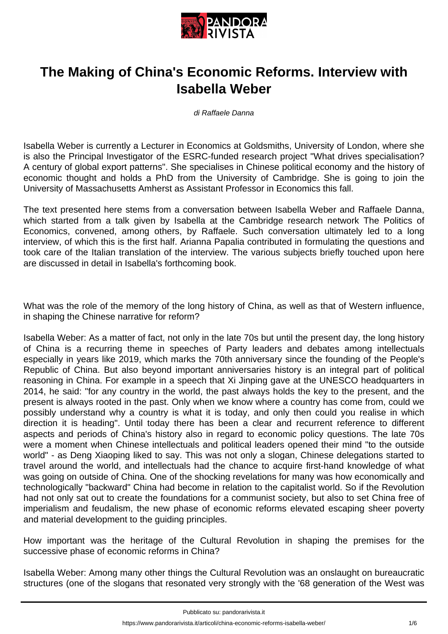

## **The Making of China's Economic Reforms. Interview with Isabella Weber**

di Raffaele Danna

Isabella Weber is currently a Lecturer in Economics at Goldsmiths, University of London, where she is also the Principal Investigator of the ESRC-funded research project "What drives specialisation? A century of global export patterns". She specialises in Chinese political economy and the history of economic thought and holds a PhD from the University of Cambridge. She is going to join the University of Massachusetts Amherst as Assistant Professor in Economics this fall.

The text presented here stems from a conversation between Isabella Weber and Raffaele Danna, which started from a talk given by Isabella at the Cambridge research network The Politics of Economics, convened, among others, by Raffaele. Such conversation ultimately led to a long interview, of which this is the first half. Arianna Papalia contributed in formulating the questions and took care of the Italian translation of the interview. The various subjects briefly touched upon here are discussed in detail in Isabella's forthcoming book.

What was the role of the memory of the long history of China, as well as that of Western influence, in shaping the Chinese narrative for reform?

Isabella Weber: As a matter of fact, not only in the late 70s but until the present day, the long history of China is a recurring theme in speeches of Party leaders and debates among intellectuals especially in years like 2019, which marks the 70th anniversary since the founding of the People's Republic of China. But also beyond important anniversaries history is an integral part of political reasoning in China. For example in a speech that Xi Jinping gave at the UNESCO headquarters in 2014, he said: "for any country in the world, the past always holds the key to the present, and the present is always rooted in the past. Only when we know where a country has come from, could we possibly understand why a country is what it is today, and only then could you realise in which direction it is heading". Until today there has been a clear and recurrent reference to different aspects and periods of China's history also in regard to economic policy questions. The late 70s were a moment when Chinese intellectuals and political leaders opened their mind "to the outside world" - as Deng Xiaoping liked to say. This was not only a slogan, Chinese delegations started to travel around the world, and intellectuals had the chance to acquire first-hand knowledge of what was going on outside of China. One of the shocking revelations for many was how economically and technologically "backward" China had become in relation to the capitalist world. So if the Revolution had not only sat out to create the foundations for a communist society, but also to set China free of imperialism and feudalism, the new phase of economic reforms elevated escaping sheer poverty and material development to the guiding principles.

How important was the heritage of the Cultural Revolution in shaping the premises for the successive phase of economic reforms in China?

Isabella Weber: Among many other things the Cultural Revolution was an onslaught on bureaucratic structures (one of the slogans that resonated very strongly with the '68 generation of the West was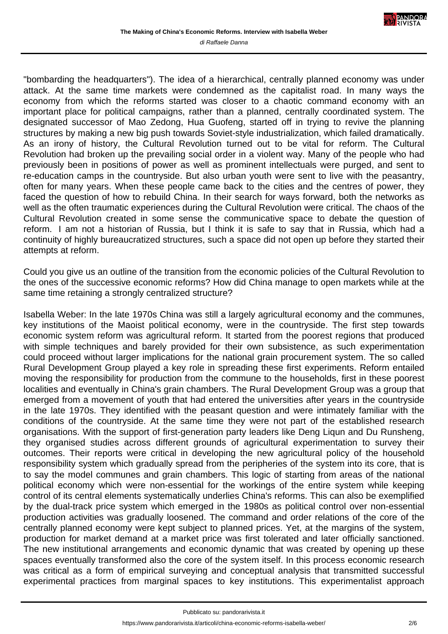"bombarding the headquarters"). The idea of a hierarchical, centrally planned economy was under attack. At the same time markets were condemned as the capitalist road. In many ways the economy from which the reforms started was closer to a chaotic command economy with an important place for political campaigns, rather than a planned, centrally coordinated system. The designated successor of Mao Zedong, Hua Guofeng, started off in trying to revive the planning structures by making a new big push towards Soviet-style industrialization, which failed dramatically. As an irony of history, the Cultural Revolution turned out to be vital for reform. The Cultural Revolution had broken up the prevailing social order in a violent way. Many of the people who had previously been in positions of power as well as prominent intellectuals were purged, and sent to re-education camps in the countryside. But also urban youth were sent to live with the peasantry, often for many years. When these people came back to the cities and the centres of power, they faced the question of how to rebuild China. In their search for ways forward, both the networks as well as the often traumatic experiences during the Cultural Revolution were critical. The chaos of the Cultural Revolution created in some sense the communicative space to debate the question of reform. I am not a historian of Russia, but I think it is safe to say that in Russia, which had a continuity of highly bureaucratized structures, such a space did not open up before they started their attempts at reform.

Could you give us an outline of the transition from the economic policies of the Cultural Revolution to the ones of the successive economic reforms? How did China manage to open markets while at the same time retaining a strongly centralized structure?

Isabella Weber: In the late 1970s China was still a largely agricultural economy and the communes, key institutions of the Maoist political economy, were in the countryside. The first step towards economic system reform was agricultural reform. It started from the poorest regions that produced with simple techniques and barely provided for their own subsistence, as such experimentation could proceed without larger implications for the national grain procurement system. The so called Rural Development Group played a key role in spreading these first experiments. Reform entailed moving the responsibility for production from the commune to the households, first in these poorest localities and eventually in China's grain chambers. The Rural Development Group was a group that emerged from a movement of youth that had entered the universities after years in the countryside in the late 1970s. They identified with the peasant question and were intimately familiar with the conditions of the countryside. At the same time they were not part of the established research organisations. With the support of first-generation party leaders like Deng Liqun and Du Runsheng, they organised studies across different grounds of agricultural experimentation to survey their outcomes. Their reports were critical in developing the new agricultural policy of the household responsibility system which gradually spread from the peripheries of the system into its core, that is to say the model communes and grain chambers. This logic of starting from areas of the national political economy which were non-essential for the workings of the entire system while keeping control of its central elements systematically underlies China's reforms. This can also be exemplified by the dual-track price system which emerged in the 1980s as political control over non-essential production activities was gradually loosened. The command and order relations of the core of the centrally planned economy were kept subject to planned prices. Yet, at the margins of the system, production for market demand at a market price was first tolerated and later officially sanctioned. The new institutional arrangements and economic dynamic that was created by opening up these spaces eventually transformed also the core of the system itself. In this process economic research was critical as a form of empirical surveying and conceptual analysis that transmitted successful experimental practices from marginal spaces to key institutions. This experimentalist approach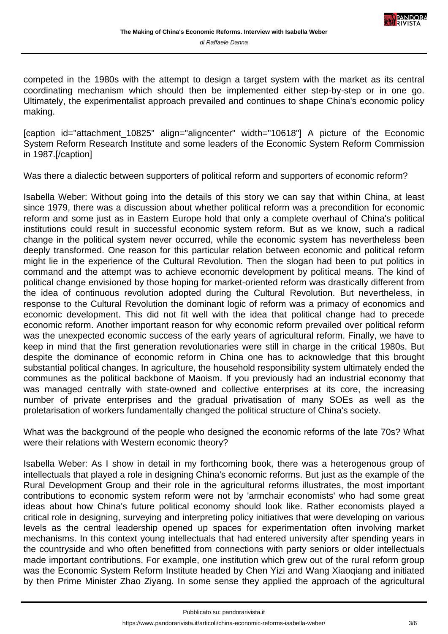competed in the 1980s with the attempt to design a target system with the market as its central coordinating mechanism which should then be implemented either step-by-step or in one go. Ultimately, the experimentalist approach prevailed and continues to shape China's economic policy making.

[caption id="attachment\_10825" align="aligncenter" width="10618"] A picture of the Economic System Reform Research Institute and some leaders of the Economic System Reform Commission in 1987.[/caption]

Was there a dialectic between supporters of political reform and supporters of economic reform?

Isabella Weber: Without going into the details of this story we can say that within China, at least since 1979, there was a discussion about whether political reform was a precondition for economic reform and some just as in Eastern Europe hold that only a complete overhaul of China's political institutions could result in successful economic system reform. But as we know, such a radical change in the political system never occurred, while the economic system has nevertheless been deeply transformed. One reason for this particular relation between economic and political reform might lie in the experience of the Cultural Revolution. Then the slogan had been to put politics in command and the attempt was to achieve economic development by political means. The kind of political change envisioned by those hoping for market-oriented reform was drastically different from the idea of continuous revolution adopted during the Cultural Revolution. But nevertheless, in response to the Cultural Revolution the dominant logic of reform was a primacy of economics and economic development. This did not fit well with the idea that political change had to precede economic reform. Another important reason for why economic reform prevailed over political reform was the unexpected economic success of the early years of agricultural reform. Finally, we have to keep in mind that the first generation revolutionaries were still in charge in the critical 1980s. But despite the dominance of economic reform in China one has to acknowledge that this brought substantial political changes. In agriculture, the household responsibility system ultimately ended the communes as the political backbone of Maoism. If you previously had an industrial economy that was managed centrally with state-owned and collective enterprises at its core, the increasing number of private enterprises and the gradual privatisation of many SOEs as well as the proletarisation of workers fundamentally changed the political structure of China's society.

What was the background of the people who designed the economic reforms of the late 70s? What were their relations with Western economic theory?

Isabella Weber: As I show in detail in my forthcoming book, there was a heterogenous group of intellectuals that played a role in designing China's economic reforms. But just as the example of the Rural Development Group and their role in the agricultural reforms illustrates, the most important contributions to economic system reform were not by 'armchair economists' who had some great ideas about how China's future political economy should look like. Rather economists played a critical role in designing, surveying and interpreting policy initiatives that were developing on various levels as the central leadership opened up spaces for experimentation often involving market mechanisms. In this context young intellectuals that had entered university after spending years in the countryside and who often benefitted from connections with party seniors or older intellectuals made important contributions. For example, one institution which grew out of the rural reform group was the Economic System Reform Institute headed by Chen Yizi and Wang Xiaoqiang and initiated by then Prime Minister Zhao Ziyang. In some sense they applied the approach of the agricultural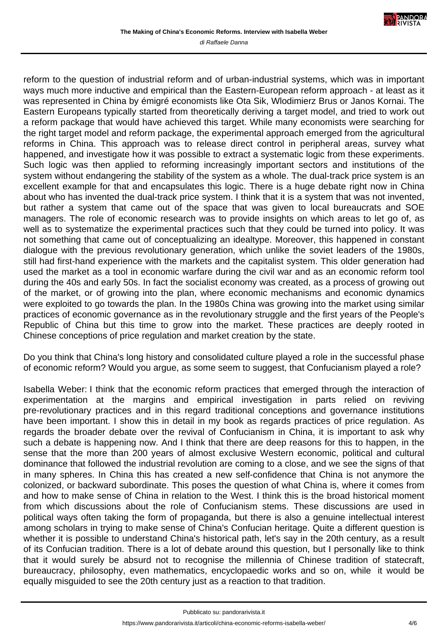reform to the question of industrial reform and of urban-industrial systems, which was in important ways much more inductive and empirical than the Eastern-European reform approach - at least as it was represented in China by émigré economists like Ota Sik, Wlodimierz Brus or Janos Kornai. The Eastern Europeans typically started from theoretically deriving a target model, and tried to work out a reform package that would have achieved this target. While many economists were searching for the right target model and reform package, the experimental approach emerged from the agricultural reforms in China. This approach was to release direct control in peripheral areas, survey what happened, and investigate how it was possible to extract a systematic logic from these experiments. Such logic was then applied to reforming increasingly important sectors and institutions of the system without endangering the stability of the system as a whole. The dual-track price system is an excellent example for that and encapsulates this logic. There is a huge debate right now in China about who has invented the dual-track price system. I think that it is a system that was not invented, but rather a system that came out of the space that was given to local bureaucrats and SOE managers. The role of economic research was to provide insights on which areas to let go of, as well as to systematize the experimental practices such that they could be turned into policy. It was not something that came out of conceptualizing an idealtype. Moreover, this happened in constant dialogue with the previous revolutionary generation, which unlike the soviet leaders of the 1980s, still had first-hand experience with the markets and the capitalist system. This older generation had used the market as a tool in economic warfare during the civil war and as an economic reform tool during the 40s and early 50s. In fact the socialist economy was created, as a process of growing out of the market, or of growing into the plan, where economic mechanisms and economic dynamics were exploited to go towards the plan. In the 1980s China was growing into the market using similar practices of economic governance as in the revolutionary struggle and the first years of the People's Republic of China but this time to grow into the market. These practices are deeply rooted in Chinese conceptions of price regulation and market creation by the state.

Do you think that China's long history and consolidated culture played a role in the successful phase of economic reform? Would you argue, as some seem to suggest, that Confucianism played a role?

Isabella Weber: I think that the economic reform practices that emerged through the interaction of experimentation at the margins and empirical investigation in parts relied on reviving pre-revolutionary practices and in this regard traditional conceptions and governance institutions have been important. I show this in detail in my book as regards practices of price regulation. As regards the broader debate over the revival of Confucianism in China, it is important to ask why such a debate is happening now. And I think that there are deep reasons for this to happen, in the sense that the more than 200 years of almost exclusive Western economic, political and cultural dominance that followed the industrial revolution are coming to a close, and we see the signs of that in many spheres. In China this has created a new self-confidence that China is not anymore the colonized, or backward subordinate. This poses the question of what China is, where it comes from and how to make sense of China in relation to the West. I think this is the broad historical moment from which discussions about the role of Confucianism stems. These discussions are used in political ways often taking the form of propaganda, but there is also a genuine intellectual interest among scholars in trying to make sense of China's Confucian heritage. Quite a different question is whether it is possible to understand China's historical path, let's say in the 20th century, as a result of its Confucian tradition. There is a lot of debate around this question, but I personally like to think that it would surely be absurd not to recognise the millennia of Chinese tradition of statecraft, bureaucracy, philosophy, even mathematics, encyclopaedic works and so on, while it would be equally misguided to see the 20th century just as a reaction to that tradition.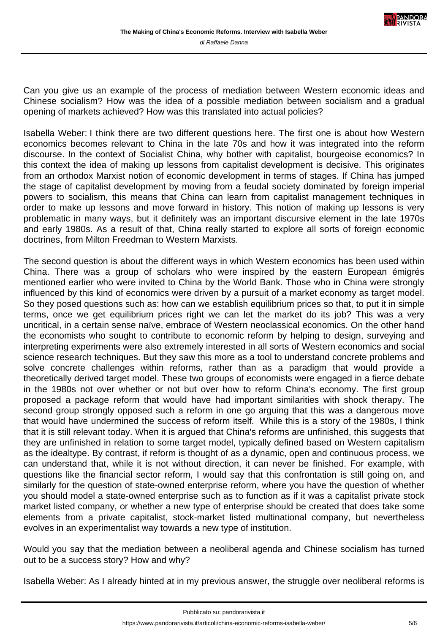

Can you give us an example of the process of mediation between Western economic ideas and Chinese socialism? How was the idea of a possible mediation between socialism and a gradual opening of markets achieved? How was this translated into actual policies?

Isabella Weber: I think there are two different questions here. The first one is about how Western economics becomes relevant to China in the late 70s and how it was integrated into the reform discourse. In the context of Socialist China, why bother with capitalist, bourgeoise economics? In this context the idea of making up lessons from capitalist development is decisive. This originates from an orthodox Marxist notion of economic development in terms of stages. If China has jumped the stage of capitalist development by moving from a feudal society dominated by foreign imperial powers to socialism, this means that China can learn from capitalist management techniques in order to make up lessons and move forward in history. This notion of making up lessons is very problematic in many ways, but it definitely was an important discursive element in the late 1970s and early 1980s. As a result of that, China really started to explore all sorts of foreign economic doctrines, from Milton Freedman to Western Marxists.

The second question is about the different ways in which Western economics has been used within China. There was a group of scholars who were inspired by the eastern European émigrés mentioned earlier who were invited to China by the World Bank. Those who in China were strongly influenced by this kind of economics were driven by a pursuit of a market economy as target model. So they posed questions such as: how can we establish equilibrium prices so that, to put it in simple terms, once we get equilibrium prices right we can let the market do its job? This was a very uncritical, in a certain sense naïve, embrace of Western neoclassical economics. On the other hand the economists who sought to contribute to economic reform by helping to design, surveying and interpreting experiments were also extremely interested in all sorts of Western economics and social science research techniques. But they saw this more as a tool to understand concrete problems and solve concrete challenges within reforms, rather than as a paradigm that would provide a theoretically derived target model. These two groups of economists were engaged in a fierce debate in the 1980s not over whether or not but over how to reform China's economy. The first group proposed a package reform that would have had important similarities with shock therapy. The second group strongly opposed such a reform in one go arguing that this was a dangerous move that would have undermined the success of reform itself. While this is a story of the 1980s, I think that it is still relevant today. When it is argued that China's reforms are unfinished, this suggests that they are unfinished in relation to some target model, typically defined based on Western capitalism as the idealtype. By contrast, if reform is thought of as a dynamic, open and continuous process, we can understand that, while it is not without direction, it can never be finished. For example, with questions like the financial sector reform, I would say that this confrontation is still going on, and similarly for the question of state-owned enterprise reform, where you have the question of whether you should model a state-owned enterprise such as to function as if it was a capitalist private stock market listed company, or whether a new type of enterprise should be created that does take some elements from a private capitalist, stock-market listed multinational company, but nevertheless evolves in an experimentalist way towards a new type of institution.

Would you say that the mediation between a neoliberal agenda and Chinese socialism has turned out to be a success story? How and why?

Isabella Weber: As I already hinted at in my previous answer, the struggle over neoliberal reforms is